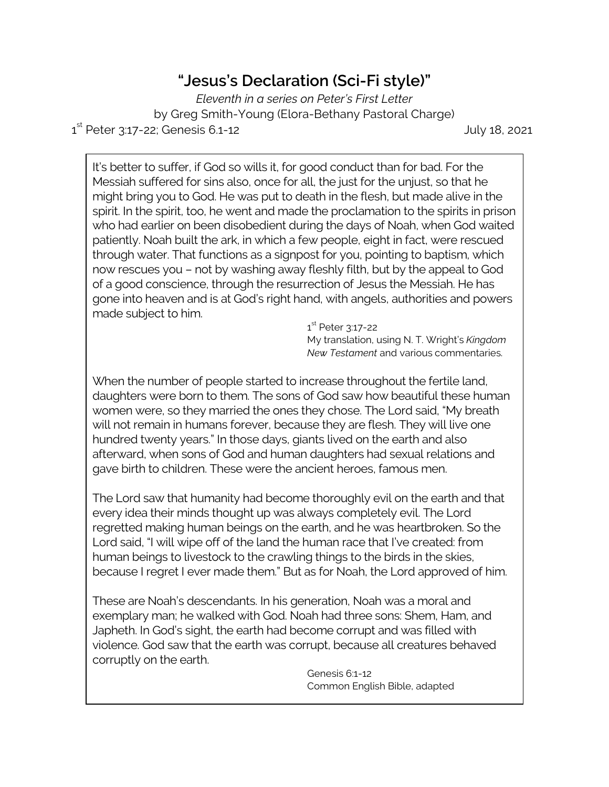## **"Jesus's Declaration (Sci-Fi style)"**

*Eleventh in a series on Peter's First Letter* by Greg Smith-Young (Elora-Bethany Pastoral Charge) 1 st Peter 3:17-22; Genesis 6.1-12 July 18, 2021

It's better to suffer, if God so wills it, for good conduct than for bad. For the Messiah suffered for sins also, once for all, the just for the unjust, so that he might bring you to God. He was put to death in the flesh, but made alive in the spirit. In the spirit, too, he went and made the proclamation to the spirits in prison who had earlier on been disobedient during the days of Noah, when God waited patiently. Noah built the ark, in which a few people, eight in fact, were rescued through water. That functions as a signpost for you, pointing to baptism, which now rescues you – not by washing away fleshly filth, but by the appeal to God of a good conscience, through the resurrection of Jesus the Messiah. He has gone into heaven and is at God's right hand, with angels, authorities and powers made subject to him.

> 1<sup>st</sup> Peter 3:17-22 My translation, using N. T. Wright's *Kingdom New Testament* and various commentaries.

When the number of people started to increase throughout the fertile land, daughters were born to them. The sons of God saw how beautiful these human women were, so they married the ones they chose. The Lord said, "My breath will not remain in humans forever, because they are flesh. They will live one hundred twenty years." In those days, giants lived on the earth and also afterward, when sons of God and human daughters had sexual relations and gave birth to children. These were the ancient heroes, famous men.

The Lord saw that humanity had become thoroughly evil on the earth and that every idea their minds thought up was always completely evil. The Lord regretted making human beings on the earth, and he was heartbroken. So the Lord said, "I will wipe off of the land the human race that I've created: from human beings to livestock to the crawling things to the birds in the skies, because I regret I ever made them." But as for Noah, the Lord approved of him.

These are Noah's descendants. In his generation, Noah was a moral and exemplary man; he walked with God. Noah had three sons: Shem, Ham, and Japheth. In God's sight, the earth had become corrupt and was filled with violence. God saw that the earth was corrupt, because all creatures behaved corruptly on the earth.

> Genesis 6:1-12 Common English Bible, adapted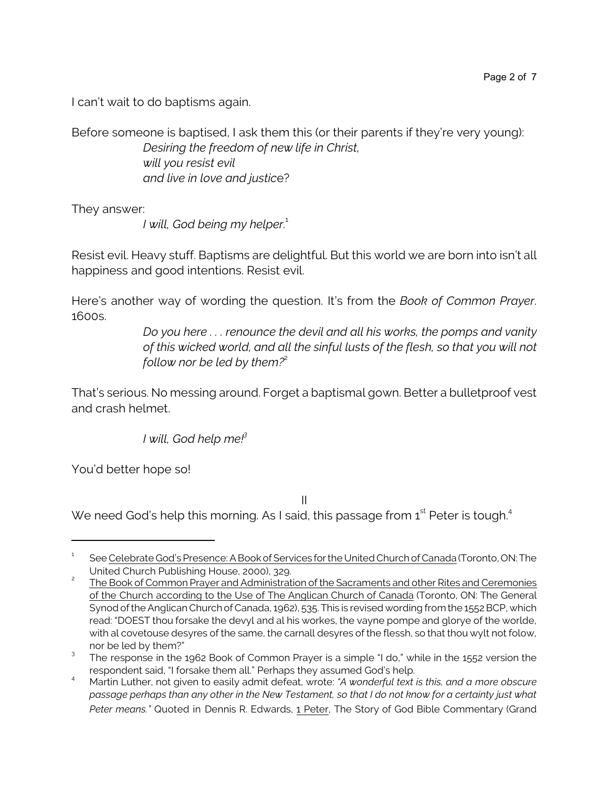I can't wait to do baptisms again.

Before someone is baptised, I ask them this (or their parents if they're very young): *Desiring the freedom of new life in Christ, will you resist evil* 

*and live in love and justic*e?

They answer:

*I* will, God being my helper.<sup>1</sup>

Resist evil. Heavy stuff. Baptisms are delightful. But this world we are born into isn't all happiness and good intentions. Resist evil.

Here's another way of wording the question. It's from the *Book of Common Prayer*. 1600s.

> *Do you here . . . renounce the devil and all his works, the pomps and vanity of this wicked world, and all the sinful lusts of the flesh, so that you will not follow nor be led by them?*<sup>2</sup>

That's serious. No messing around. Forget a baptismal gown. Better a bulletproof vest and crash helmet.

*I will, God help me!<sup>3</sup>*

You'd better hope so!

II

We need God's help this morning. As I said, this passage from  $\boldsymbol{\mathsf{1}}^{\text{st}}$  Peter is tough. $^{\text{4}}$ 

<sup>1</sup> See Celebrate God's Presence: A Book of Services for the United Church of Canada (Toronto, ON: The United Church Publishing House, 2000), 329.

<sup>2</sup> The Book of Common Prayer and Administration of the Sacraments and other Rites and Ceremonies of the Church according to the Use of The Anglican Church of Canada (Toronto, ON: The General Synod of the Anglican Church of Canada, 1962), 535. This is revised wording from the 1552 BCP, which read: "DOEST thou forsake the devyl and al his workes, the vayne pompe and glorye of the worlde, with al covetouse desyres of the same, the carnall desyres of the flessh, so that thou wylt not folow, nor be led by them?"

<sup>&</sup>lt;sup>3</sup> The response in the 1962 Book of Common Prayer is a simple "I do," while in the 1552 version the respondent said, "I forsake them all." Perhaps they assumed God's help.

<sup>4</sup> Martin Luther, not given to easily admit defeat, wrote: *"A wonderful text is this, and a more obscure passage perhaps than any other in the New Testament, so that I do not know for a certainty just what Peter means."* Quoted in Dennis R. Edwards, 1 Peter, The Story of God Bible Commentary (Grand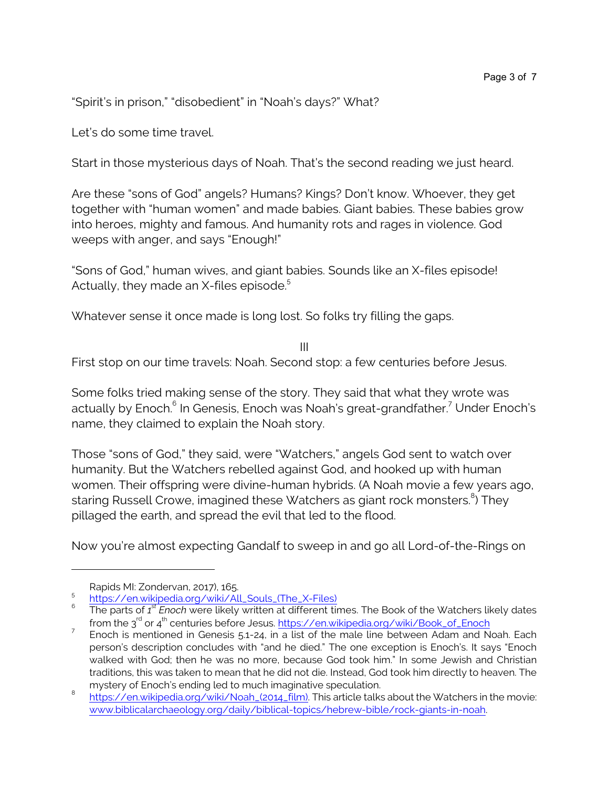"Spirit's in prison," "disobedient" in "Noah's days?" What?

Let's do some time travel.

Start in those mysterious days of Noah. That's the second reading we just heard.

Are these "sons of God" angels? Humans? Kings? Don't know. Whoever, they get together with "human women" and made babies. Giant babies. These babies grow into heroes, mighty and famous. And humanity rots and rages in violence. God weeps with anger, and says "Enough!"

"Sons of God," human wives, and giant babies. Sounds like an X-files episode! Actually, they made an  $X$ -files episode.<sup>5</sup>

Whatever sense it once made is long lost. So folks try filling the gaps.

III

First stop on our time travels: Noah. Second stop: a few centuries before Jesus.

Some folks tried making sense of the story. They said that what they wrote was actually by Enoch.<sup>6</sup> In Genesis, Enoch was Noah's great-grandfather.<sup>7</sup> Under Enoch's name, they claimed to explain the Noah story.

Those "sons of God," they said, were "Watchers," angels God sent to watch over humanity. But the Watchers rebelled against God, and hooked up with human women. Their offspring were divine-human hybrids. (A Noah movie a few years ago, staring Russell Crowe, imagined these Watchers as giant rock monsters. $^8$ ) They pillaged the earth, and spread the evil that led to the flood.

Now you're almost expecting Gandalf to sweep in and go all Lord-of-the-Rings on

Rapids MI: Zondervan, 2017), 165.

<sup>5</sup> [https://en.wikipedia.org/wiki/All\\_Souls\\_\(The\\_X-Files\)](https://en.wikipedia.org/wiki/All_Souls_(The_X-Files))

<sup>6</sup> The parts of *1 st Enoch* were likely written at different times. The Book of the Watchers likely dates from the 3<sup>rd</sup> or 4<sup>th</sup> centuries before Jesus. [https://en.wikipedia.org/wiki/Book\\_of\\_Enoch](https://en.wikipedia.org/wiki/Book_of_Enoch)

<sup>7</sup> Enoch is mentioned in Genesis 5.1-24, in a list of the male line between Adam and Noah. Each person's description concludes with "and he died." The one exception is Enoch's. It says "Enoch walked with God; then he was no more, because God took him." In some Jewish and Christian traditions, this was taken to mean that he did not die. Instead, God took him directly to heaven. The mystery of Enoch's ending led to much imaginative speculation.

<sup>8</sup> [https://en.wikipedia.org/wiki/Noah\\_\(2014\\_film\)](https://en.wikipedia.org/wiki/Noah_(2014_film)). This article talks about the Watchers in the movie: [www.biblicalarchaeology.org/daily/biblical-topics/hebrew-bible/rock-giants-in-noah](https://www.biblicalarchaeology.org/daily/biblical-topics/hebrew-bible/rock-giants-in-noah/).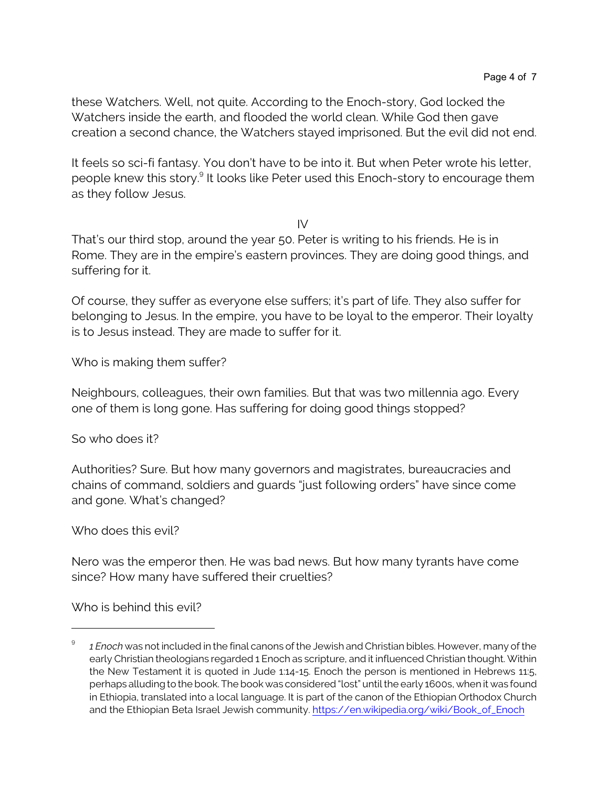these Watchers. Well, not quite. According to the Enoch-story, God locked the Watchers inside the earth, and flooded the world clean. While God then gave creation a second chance, the Watchers stayed imprisoned. But the evil did not end.

It feels so sci-fi fantasy. You don't have to be into it. But when Peter wrote his letter, people knew this story.<sup>9</sup> It looks like Peter used this Enoch-story to encourage them as they follow Jesus.

IV

That's our third stop, around the year 50. Peter is writing to his friends. He is in Rome. They are in the empire's eastern provinces. They are doing good things, and suffering for it.

Of course, they suffer as everyone else suffers; it's part of life. They also suffer for belonging to Jesus. In the empire, you have to be loyal to the emperor. Their loyalty is to Jesus instead. They are made to suffer for it.

Who is making them suffer?

Neighbours, colleagues, their own families. But that was two millennia ago. Every one of them is long gone. Has suffering for doing good things stopped?

So who does it?

Authorities? Sure. But how many governors and magistrates, bureaucracies and chains of command, soldiers and guards "just following orders" have since come and gone. What's changed?

Who does this evil?

Nero was the emperor then. He was bad news. But how many tyrants have come since? How many have suffered their cruelties?

Who is behind this evil?

<sup>9</sup> *1 Enoch* was not included in the final canons of the Jewish and Christian bibles. However, many of the early Christian theologians regarded 1 Enoch as scripture, and it influenced Christian thought. Within the New Testament it is quoted in Jude 1:14-15. Enoch the person is mentioned in Hebrews 11:5, perhaps alluding to the book. The book was considered "lost" until the early 1600s, when it was found in Ethiopia, translated into a local language. It is part of the canon of the Ethiopian Orthodox Church and the Ethiopian Beta Israel Jewish community. [https://en.wikipedia.org/wiki/Book\\_of\\_Enoch](https://en.wikipedia.org/wiki/Book_of_Enoch)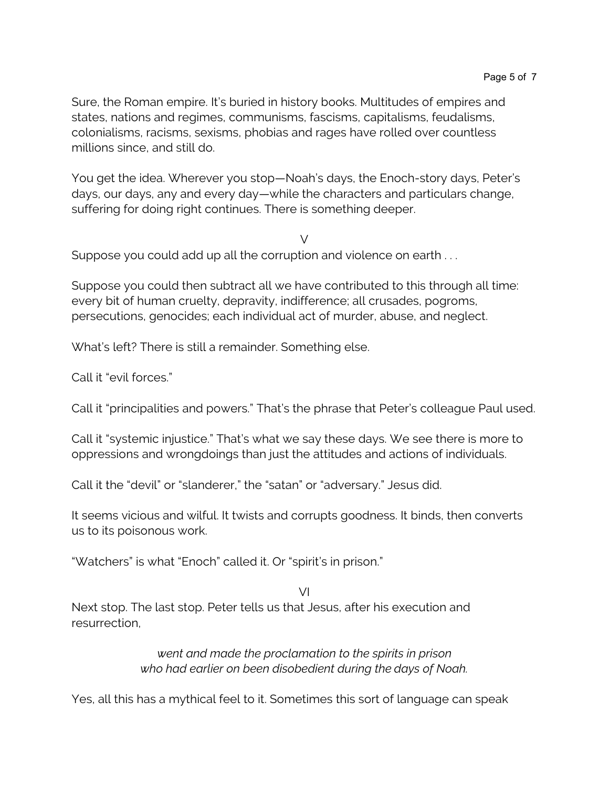Sure, the Roman empire. It's buried in history books. Multitudes of empires and states, nations and regimes, communisms, fascisms, capitalisms, feudalisms, colonialisms, racisms, sexisms, phobias and rages have rolled over countless millions since, and still do.

You get the idea. Wherever you stop—Noah's days, the Enoch-story days, Peter's days, our days, any and every day—while the characters and particulars change, suffering for doing right continues. There is something deeper.

 $\vee$ 

Suppose you could add up all the corruption and violence on earth . . .

Suppose you could then subtract all we have contributed to this through all time: every bit of human cruelty, depravity, indifference; all crusades, pogroms, persecutions, genocides; each individual act of murder, abuse, and neglect.

What's left? There is still a remainder. Something else.

Call it "evil forces."

Call it "principalities and powers." That's the phrase that Peter's colleague Paul used.

Call it "systemic injustice." That's what we say these days. We see there is more to oppressions and wrongdoings than just the attitudes and actions of individuals.

Call it the "devil" or "slanderer," the "satan" or "adversary." Jesus did.

It seems vicious and wilful. It twists and corrupts goodness. It binds, then converts us to its poisonous work.

"Watchers" is what "Enoch" called it. Or "spirit's in prison."

VI Next stop. The last stop. Peter tells us that Jesus, after his execution and resurrection,

> *went and made the proclamation to the spirits in prison who had earlier on been disobedient during the days of Noah.*

Yes, all this has a mythical feel to it. Sometimes this sort of language can speak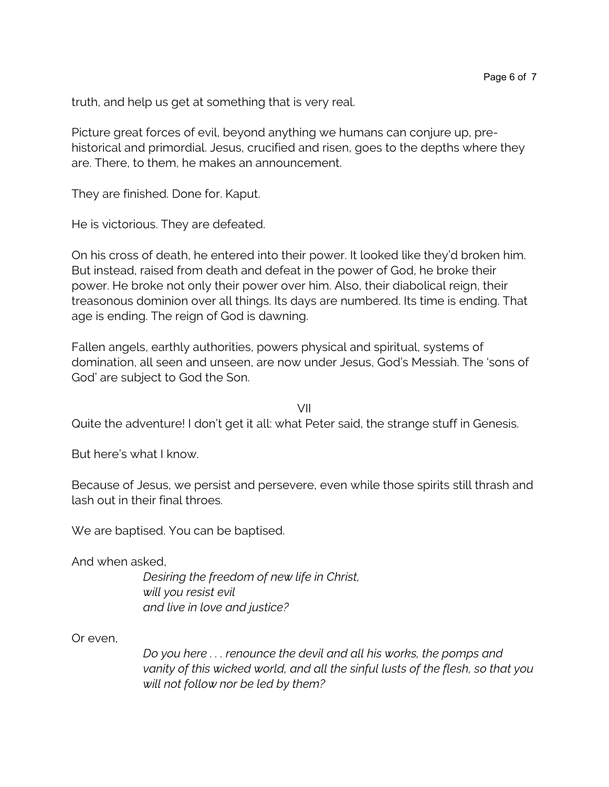truth, and help us get at something that is very real.

Picture great forces of evil, beyond anything we humans can conjure up, prehistorical and primordial. Jesus, crucified and risen, goes to the depths where they are. There, to them, he makes an announcement.

They are finished. Done for. Kaput.

He is victorious. They are defeated.

On his cross of death, he entered into their power. It looked like they'd broken him. But instead, raised from death and defeat in the power of God, he broke their power. He broke not only their power over him. Also, their diabolical reign, their treasonous dominion over all things. Its days are numbered. Its time is ending. That age is ending. The reign of God is dawning.

Fallen angels, earthly authorities, powers physical and spiritual, systems of domination, all seen and unseen, are now under Jesus, God's Messiah. The 'sons of God' are subject to God the Son.

VII

Quite the adventure! I don't get it all: what Peter said, the strange stuff in Genesis.

But here's what I know.

Because of Jesus, we persist and persevere, even while those spirits still thrash and lash out in their final throes.

We are baptised. You can be baptised.

And when asked,

*Desiring the freedom of new life in Christ, will you resist evil and live in love and justice?*

Or even,

*Do you here . . . renounce the devil and all his works, the pomps and vanity of this wicked world, and all the sinful lusts of the flesh, so that you will not follow nor be led by them?*